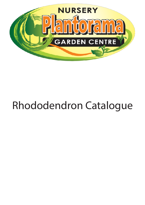

## Rhododendron Catalogue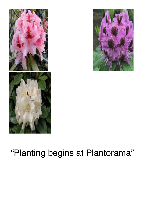



## "Planting begins at Plantorama"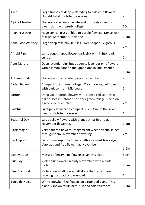| Alice                | Large trusses of deep pink fading to pale rose flowers.<br>Upright habit. October flowering.                                                   | 2m               |
|----------------------|------------------------------------------------------------------------------------------------------------------------------------------------|------------------|
| <b>Alpine Meadow</b> | Flowers are yellowish white and profusely cover his<br>dwarf plant with pretty foliage.                                                        | 60 <sub>cm</sub> |
| Anah Kruschke        | Huge conical truss of blue to purple flowers. Dense lush<br>foliage. September Flowering                                                       | 2.5m             |
| Anna Rose Whitney    | Large deep rose pink trusses. Well shaped. Vigorous.                                                                                           | 2m               |
| <b>Arnold Piper</b>  | Large cone shaped flower, dark pink with lighter pink<br>centre.                                                                               | 2m               |
| <b>Aunt Martha</b>   | Deep lavender pink buds open to lavender pink flowers<br>with a lemon flare on the upper lobe in late October.                                 | 1.5 <sub>m</sub> |
| Autumn Gold          | Flowers apricot, shaded pink in November.                                                                                                      | 2m               |
| <b>Baden Baden</b>   | Compact forest green foliage. Clear glowing red flowers<br>with dark centres. Mid-season.                                                      | 1 <sub>m</sub>   |
| <b>Bariton</b>       | Deep violet-purple flowers with a deep red splotch in<br>ball trusses in October. The dark green foliage is held on<br>a nicely rounded plant. | 2m               |
| <b>Bashful</b>       | Light pink flowers on compact bush. One of the seven<br>dwarfs. October flowering.                                                             | 1 <sub>m</sub>   |
| <b>Beautiful Day</b> | Large yellow flowers with orange strips in throat.<br>November flowering.                                                                      | 1.5 <sub>m</sub> |
| <b>Black Magic</b>   | Very dark red flowers. Magnificent when the sun shines<br>through them. November flowering.                                                    | 2m               |
| <b>Black Sport</b>   | Dark crimson-purple flowers with an almost black eye.<br>Vigorous and free flowering. November.                                                | $1-2m$           |
| <b>Blaneys Blue</b>  | Masses of misty blue flowers cover this plant.                                                                                                 | 80cm             |
| <b>Blue Boy</b>      | Violet blue flowers in early November, with a dark<br>blotch.                                                                                  | 1.5m             |
| <b>Blue Diamond</b>  | Violet-blue small flowers all along the stems. Slow<br>growing, compact and rounded.                                                           | 1 <sub>m</sub>   |
| Boule de Neige       | White snowball like flowers on a rounded plant. This<br>plant is known for its heat, sun and cold tolerance.                                   | 1.5 <sub>m</sub> |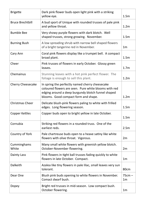| <b>Brigette</b>          | Dark pink flower buds open light pink with a striking<br>yellow eye.                                                                                                                                   | 1.5 <sub>m</sub>           |
|--------------------------|--------------------------------------------------------------------------------------------------------------------------------------------------------------------------------------------------------|----------------------------|
| <b>Bruce Brechtbill</b>  | A bud sport of Unique with rounded trusses of pale pink<br>and yellow throat.                                                                                                                          | 1.2 <sub>m</sub>           |
| <b>Bumble Bee</b>        | Very showy purple flowers with dark blotch. Well<br>shaped trusses, strong growing. November.                                                                                                          | 1.5m                       |
| <b>Burning Bush</b>      | A low spreading shrub with narrow bell shaped flowers<br>of a bright tangerine red in November.                                                                                                        | 1 <sub>m</sub>             |
| Cary Ann                 | Coral pink flowers display like a trumpet bell. A compact<br>broad plant.                                                                                                                              | 1.5 <sub>m</sub>           |
| Cheer                    | Pink trusses of flowers in early October. Glossy green<br>leaves.                                                                                                                                      | 1.7 <sub>m</sub>           |
| Chemainus                | Stunning leaves with a hot pink perfect flower. The<br>foliage is enough to sell this plant.                                                                                                           | 1.2 <sub>m</sub>           |
| <b>Cherry Cheesecake</b> | In spring the perfectly named cherry cheesecake<br>coloured flowers are seen. Pure white blooms with red<br>edging around a deep burgundy blotch funnel shaped<br>blooms. Good compact form and shape. | 1.2 <sub>m</sub>           |
| <b>Christmas Cheer</b>   | Delicate blush-pink flowers paling to white with frilled<br>edges. Long flowering season.                                                                                                              | 1.5 <sub>m</sub>           |
| Copper Kettles           | Copper buds open to bright yellow in late October.                                                                                                                                                     | 1.5 <sub>m</sub>           |
| Cornubia                 | Striking red flowers in a rounded truss. One of the<br>earliest reds.                                                                                                                                  | 2.5m                       |
| Country of York          | Pale chartreuse buds open to a heave satiny like white<br>flowers with olive throat. Vigorous.                                                                                                         | 2m                         |
| Cumminghams<br>White     | Many small white flowers with greenish yellow blotch.<br>October-November flowering.                                                                                                                   | 2m                         |
| Dainty Lass              | Pink flowers in tight ball trusses fading quickly to white<br>flowers in late October. Compact.                                                                                                        | 1 <sub>m</sub>             |
| Dalkeith                 | Azalea like tiny flowers in pale lilac, small leaves very sun<br>tolerant.                                                                                                                             | 80cm                       |
| Dear One                 | Blush pink buds opening to white flowers in November.<br>Comact dwarf bush.                                                                                                                            | $75cm -$<br>1 <sub>m</sub> |
| Dopey                    | Bright red trusses in mid-season. Low compact bush.<br>October flowering.                                                                                                                              | 1 <sub>m</sub>             |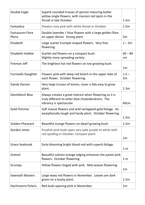| Double Eagle                    | Superb rounded trusses of apricot maturing butter<br>yellow single flowers, with maroon red spots in the<br>throat in late October.     | 1.5 <sub>m</sub> |
|---------------------------------|-----------------------------------------------------------------------------------------------------------------------------------------|------------------|
| Fantastica                      | Flowers rose pink with white throat in October.                                                                                         | 1.5 <sub>m</sub> |
| <b>Fastuosum Flora</b><br>Plena | Double lavender / blue flowers with a large golden flare<br>on upper dorsal. Strong plant.                                              | 2m               |
| Elizabeth                       | Large scarlet trumpet shaped flowers. Very free<br>flowering.                                                                           | $1 - 2m$         |
| <b>Elizabeth Hobbie</b>         | Scarlet-red flowers on a compact bush.<br>Slightly more spreading variety.                                                              | $60 - 80$<br>cm  |
| Fireman Jeff                    | The brightest hot red flowers on low growing bush.                                                                                      | 1 <sub>m</sub>   |
| <b>Furnivalls Daughter</b>      | Flowers pink with deep red blotch in the upper lobe of<br>each flower. October flowering.                                               | $1.5 -$<br>2m    |
| <b>Gandy Dancer</b>             | Very large trusses of lemon, cover a tidy easy to grow<br>plant.                                                                        | 1.5m             |
| <b>Glenfalloch Blue</b>         | Always creates a great interest when flowering as it is<br>truly different to other blue rhododendrons. The<br>vibrancy is spectacular. | 60cm             |
| <b>Gold Flimmer</b>             | Soft mauve flowers and wild variegated gold foliage. An<br>exceptionally tough and hardy plant. October flowering.                      | 1.5 <sub>m</sub> |
| <b>Golden Pheasant</b>          | Beautiful orange flowers on dwarf growing bush.                                                                                         | 1.5 <sub>m</sub> |
| <b>Gordon Jones</b>             | Purplish pink buds open very pale purple to white with<br>red spotting in October. Compact plant.                                       | 1 <sub>m</sub>   |
| <b>Grace Seabrook</b>           | Early blooming bright blood-red with superb foliage.                                                                                    | 1.m              |
| Gretsel                         | Beautiful salmon orange edging enhances the pastel pink<br>flowers. October flowering.                                                  | 1.m              |
| Grumpy                          | Yellow flowers tinged with pink. Mid-season flowering.                                                                                  | 1 <sub>m</sub>   |
| <b>Gwenyth Masters</b>          | Large waxy red flowers in November. Leaves are dark<br>green on a bushy plant.                                                          | 1.5 <sub>m</sub> |
| <b>Hachmanns Polaris</b>        | Red buds opening pink in November.                                                                                                      | 1 <sub>m</sub>   |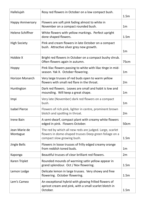| Hallelujah                | Rosy red flowers in October on a low compact bush.                                                                                               | 1.5 <sub>m</sub> |
|---------------------------|--------------------------------------------------------------------------------------------------------------------------------------------------|------------------|
| <b>Happy Anniversary</b>  | Flowers are soft pink fading almost to white in<br>November on a compact rounded bush.                                                           | 1 <sub>m</sub>   |
| <b>Helene Schiffner</b>   | White flowers with yellow markings. Perfect upright<br>done shaped flowers.                                                                      | 1.5 <sub>m</sub> |
| <b>High Society</b>       | Pink and cream flowers in late October on a compact<br>bush. Attractive silver grey new growth.                                                  | 1 <sub>m</sub>   |
| Hobbie X                  | Bright red flowers in October on a compact bushy shrub.<br>Often flowers again in autumn.                                                        | 75cm             |
| Hoppy                     | Pink lilac flowers passing to white with lilac tinge in mid-<br>season. Yak X. October flowering.                                                | 1 <sub>m</sub>   |
| <b>Horizon Monarch</b>    | Very large trusses of red buds open to warm yellow<br>flowers with small red flare in the throat.                                                | 2m               |
| Huntington                | Dark red flowers. Leaves are small and habit is low and<br>mounding. Will keep a great shape.                                                    | 1 <sub>m</sub>   |
| Impi                      | Very late (November) dark red flowers on a compact<br>bush.                                                                                      | 1 <sub>m</sub>   |
| <b>Isabel Pierce</b>      | Flowers of rich pink, lighter in centre, prominent brown<br>blotch and spotting in throat.                                                       | 2m               |
| <b>Irene Bain</b>         | A semi-dwarf, compact plant with creamy white flowers<br>edged in pink. Flowers October.                                                         | 50cm             |
| Jean Marie de<br>Montague | The red by which all new reds are judged. Large, scarlet<br>flowers in dome-shaped trusses Deep green foliage on a<br>compact slow growing bush. | 1.5 <sub>m</sub> |
| <b>Jingle Bells</b>       | Flowers in loose trusses of frilly edged creamy orange<br>from reddish toned buds.                                                               | 1 <sub>m</sub>   |
| Kaponga                   | Beautiful trusses of clear brilliant red flowers.                                                                                                | 2m               |
| Karen Triplet             | Rounded mounds of warming satin yellow appear in<br>grand splendour. Oct / Nov flowering.                                                        | 1.5m             |
| Lemon Lodge               | Delicate lemon in large trusses. Very showy and free<br>flowering. October flowering.                                                            | 1.5m             |
| Lem's Cameo               | An exceptional hybrid with glowing frilled flowers of<br>apricot cream and pink, with a small scarlet blotch in<br>October.                      | 1.5m             |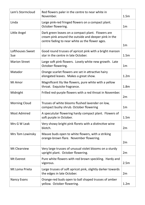| Lem's Stormcloud        | Red flowers paler in the centre to near white in<br>November.                                                                                                | 1.5m             |
|-------------------------|--------------------------------------------------------------------------------------------------------------------------------------------------------------|------------------|
| Linda                   | Large pink-red fringed flowers on a compact plant.<br>October flowering.                                                                                     | 1 <sub>m</sub>   |
| Little Angel            | Dark green leaves on a compact plant. Flowers are<br>cream pink around the outside and deeper pink in the<br>centre fading to near white as the flower ages. | 1 <sub>m</sub>   |
| Lofthouses Sweet<br>Sue | Good round trusses of apricot pink with a bright maroon<br>star in the centre in late October.                                                               | 1.5 <sub>m</sub> |
| <b>Marion Street</b>    | Large soft pink flowers. Lovely white new growth. Late<br>October flowering.                                                                                 | 1 <sub>m</sub>   |
| Matador                 | Orange scarlet flowers are set in attractive hairy<br>elongated leaves. Makes a great show.                                                                  | 1.2 <sub>m</sub> |
| Mi Amor                 | Magnificent lily like flowers, pure white with a yellow<br>throat. Exquisite fragrance.                                                                      | 1.8 <sub>m</sub> |
| Midnight                | Frilled red-purple flowers with a red throat in November.                                                                                                    | 2m               |
| <b>Morning Cloud</b>    | Trusses of white blooms flushed lavender on low,<br>compact bushy shrub. October flowering                                                                   | 1 <sub>m</sub>   |
| <b>Most Admired</b>     | A specutular flowering hardy compact plant. Flowers of<br>soft purple in October.                                                                            | 1.5 <sub>m</sub> |
| Mrs G W Leak            | Very showy bright pink florets with a distinctive wine<br>blotch.                                                                                            | 2m               |
| Mrs Tom Lowinsky        | Mauve buds open to white flowers, with a striking<br>orange-brown flare. November flowering.                                                                 | 2m               |
| <b>Mt Clearview</b>     | Very large trusses of unusual violet blooms on a sturdy<br>upright plant. October flowering.                                                                 | 2m               |
| Mt Everest              | Pure white flowers with red brown speckling. Hardy and<br>vigorous.                                                                                          | 2.5m             |
| Mt Loma Prieta          | Large trusses of soft apricot pink, slightly darker towards<br>the edges in late October.                                                                    | 2m               |
| <b>Nancy Evans</b>      | Orange-red buds open to ball shaped trusses of amber<br>yellow. October flowering.                                                                           | 1.2 <sub>m</sub> |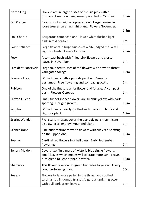| Norrie King                | Flowers are in large trusses of fuchsia pink with a<br>prominent maroon flare, sweetly scented in October.                                                  | 1.5m             |
|----------------------------|-------------------------------------------------------------------------------------------------------------------------------------------------------------|------------------|
| Old Copper                 | Blossoms of a unique copper colour. Large flowers in<br>loose trusses on an upright plant. Flowers November.                                                | 1.5 <sub>m</sub> |
| <b>Pink Cherub</b>         | A vigorous compact plant. Flower white flushed light<br>pink in mid-season.                                                                                 | 1 <sub>m</sub>   |
| <b>Point Defiance</b>      | Large flowers in huge trusses of white, edged red. A tall<br>vigorous bush. Flowers October.                                                                | 2.5m             |
| Posy                       | A compact bush with frilled pink flowers and glossy<br>leaves in November.                                                                                  | 1 <sub>m</sub>   |
| <b>President Roosevelt</b> | Large rounded trusses of red flowers with a white throat.<br>Variegated foliage.                                                                            | 1.2 <sub>m</sub> |
| <b>Princess Alice</b>      | White flowers with a pink striped bud. Sweetly<br>perfumed. Free flowering and compact growth.                                                              | 1 <sub>m</sub>   |
| Rubicon                    | One of the finest reds for flower and foliage. A compact<br>bush. Flowers October.                                                                          | 1 <sub>m</sub>   |
| Saffron Queen              | Small funnel shaped flowers are sulphur yellow with dark<br>spotting. Upright growth.                                                                       | 1.5 <sub>m</sub> |
| Sappho                     | White flowers heavily spotted with maroon. Hardy and<br>vigorous plant.                                                                                     | 1.8 <sub>m</sub> |
| <b>Scarlet Wonder</b>      | Rich scarlet trusses cover the plant giving a magnificent<br>display. Excellent low mounded plant.                                                          | 1 <sub>m</sub>   |
| Schneekrone                | Pink buds mature to white flowers with ruby red spotting<br>on the upper lobe.                                                                              | 1.5 <sub>m</sub> |
| Sea-tac                    | Cardinal red flowers in a ball truss. Early September<br>flowering.                                                                                         | 1 <sub>m</sub>   |
| Senora Meldon              | Covers itself in a mass of wisteria blue single flowers.<br>Small leaves which means will tolerate more sun. Leaves<br>turn green to light bronze in wnter. | 1.5 <sub>m</sub> |
| Shamrock                   | This flower is yellowish-green but fades to yellow. A very<br>good performing plant.                                                                        | 50cm             |
| Sneezy                     | Flowers tyrian-rose paling in the throat and spotted<br>cardinal-red in domed trusses. Vigorous upright grower<br>with dull dark-green leaves.              | 1 <sub>m</sub>   |